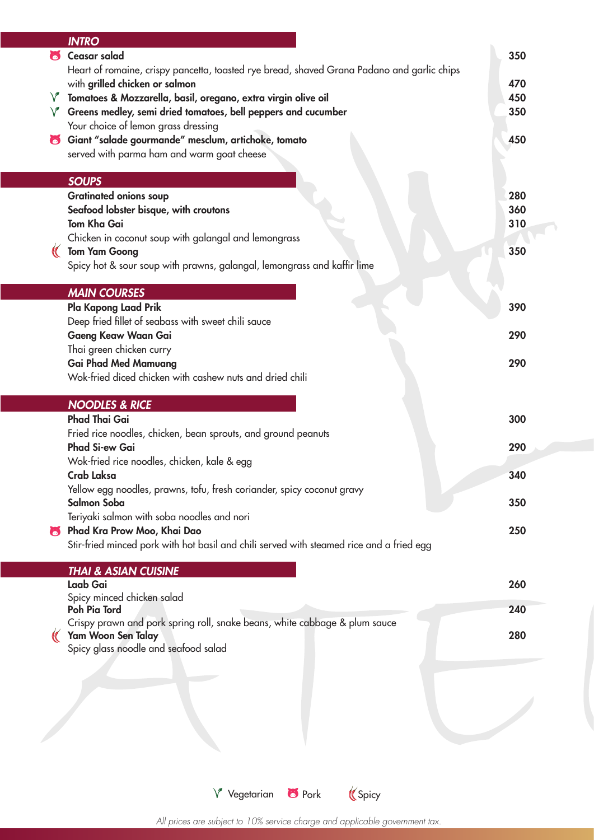|        | <b>INTRO</b>                                                                                                     |            |
|--------|------------------------------------------------------------------------------------------------------------------|------------|
| 6      | <b>Ceasar salad</b>                                                                                              | 350        |
|        | Heart of romaine, crispy pancetta, toasted rye bread, shaved Grana Padano and garlic chips                       |            |
|        | with grilled chicken or salmon                                                                                   | 470        |
| $\vee$ | Tomatoes & Mozzarella, basil, oregano, extra virgin olive oil                                                    | 450<br>350 |
|        | $\sqrt{\ }$ Greens medley, semi dried tomatoes, bell peppers and cucumber<br>Your choice of lemon grass dressing |            |
| 6      | Giant "salade gourmande" mesclum, artichoke, tomato                                                              | 450        |
|        | served with parma ham and warm goat cheese                                                                       |            |
|        |                                                                                                                  |            |
|        | <b>SOUPS</b>                                                                                                     |            |
|        | <b>Gratinated onions soup</b>                                                                                    | 280        |
|        | Seafood lobster bisque, with croutons                                                                            | 360        |
|        | <b>Tom Kha Gai</b>                                                                                               | 310        |
|        | Chicken in coconut soup with galangal and lemongrass                                                             |            |
|        | <b>Tom Yam Goong</b><br>Spicy hot & sour soup with prawns, galangal, lemongrass and kaffir lime                  | 350        |
|        |                                                                                                                  |            |
|        | <b>MAIN COURSES</b>                                                                                              |            |
|        | Pla Kapong Laad Prik                                                                                             | 390        |
|        | Deep fried fillet of seabass with sweet chili sauce                                                              |            |
|        | Gaeng Keaw Waan Gai                                                                                              | 290        |
|        | Thai green chicken curry                                                                                         |            |
|        | <b>Gai Phad Med Mamuang</b><br>Wok-fried diced chicken with cashew nuts and dried chili                          | 290        |
|        |                                                                                                                  |            |
|        |                                                                                                                  |            |
|        | <b>NOODLES &amp; RICE</b>                                                                                        |            |
|        | <b>Phad Thai Gai</b>                                                                                             | 300        |
|        | Fried rice noodles, chicken, bean sprouts, and ground peanuts                                                    |            |
|        | Phad Si-ew Gai                                                                                                   | 290        |
|        | Wok-fried rice noodles, chicken, kale & egg                                                                      |            |
|        | Crab Laksa                                                                                                       | 340        |
|        | Yellow egg noodles, prawns, tofu, fresh coriander, spicy coconut gravy                                           |            |
|        | Salmon Soba                                                                                                      | 350        |
| W      | Teriyaki salmon with soba noodles and nori<br>Phad Kra Prow Moo, Khai Dao                                        | 250        |
|        | Stir-fried minced pork with hot basil and chili served with steamed rice and a fried egg                         |            |
|        |                                                                                                                  |            |
|        | <b>THAI &amp; ASIAN CUISINE</b>                                                                                  |            |
|        | Laab Gai                                                                                                         | 260        |
|        | Spicy minced chicken salad<br>Poh Pia Tord                                                                       | 240        |
|        | Crispy prawn and pork spring roll, snake beans, white cabbage & plum sauce                                       |            |
|        | Yam Woon Sen Talay                                                                                               | 280        |
|        | Spicy glass noodle and seafood salad                                                                             |            |
|        |                                                                                                                  |            |
|        |                                                                                                                  |            |
|        |                                                                                                                  |            |
|        |                                                                                                                  |            |

 $V$  Vegetarian  $\bullet$  Pork (Spicy